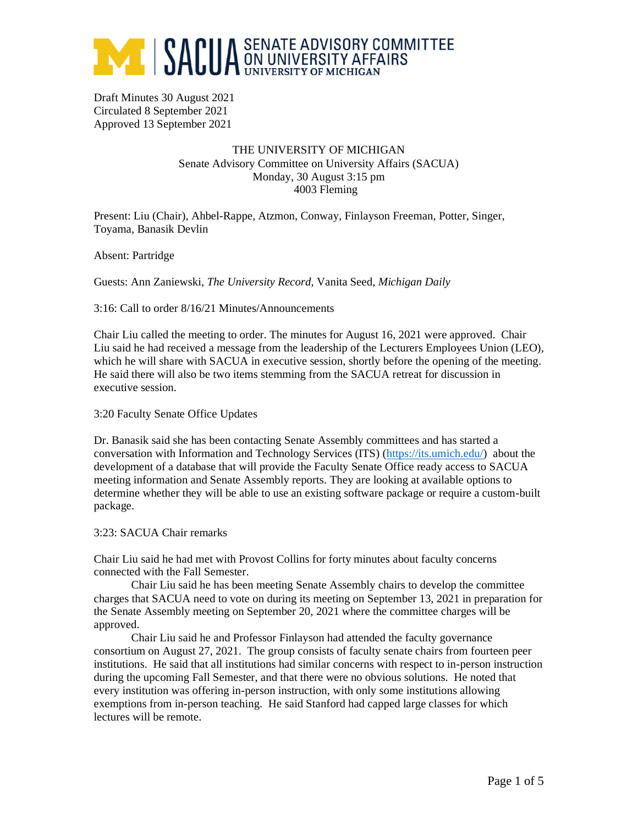

Draft Minutes 30 August 2021 Circulated 8 September 2021 Approved 13 September 2021

# THE UNIVERSITY OF MICHIGAN Senate Advisory Committee on University Affairs (SACUA) Monday, 30 August 3:15 pm 4003 Fleming

Present: Liu (Chair), Ahbel-Rappe, Atzmon, Conway, Finlayson Freeman, Potter, Singer, Toyama, Banasik Devlin

Absent: Partridge

Guests: Ann Zaniewski, *The University Record*, Vanita Seed, *Michigan Daily*

3:16: Call to order 8/16/21 Minutes/Announcements

Chair Liu called the meeting to order. The minutes for August 16, 2021 were approved. Chair Liu said he had received a message from the leadership of the Lecturers Employees Union (LEO), which he will share with SACUA in executive session, shortly before the opening of the meeting. He said there will also be two items stemming from the SACUA retreat for discussion in executive session.

3:20 Faculty Senate Office Updates

Dr. Banasik said she has been contacting Senate Assembly committees and has started a conversation with Information and Technology Services (ITS) [\(https://its.umich.edu/\)](https://its.umich.edu/) about the development of a database that will provide the Faculty Senate Office ready access to SACUA meeting information and Senate Assembly reports. They are looking at available options to determine whether they will be able to use an existing software package or require a custom-built package.

#### 3:23: SACUA Chair remarks

Chair Liu said he had met with Provost Collins for forty minutes about faculty concerns connected with the Fall Semester.

Chair Liu said he has been meeting Senate Assembly chairs to develop the committee charges that SACUA need to vote on during its meeting on September 13, 2021 in preparation for the Senate Assembly meeting on September 20, 2021 where the committee charges will be approved.

Chair Liu said he and Professor Finlayson had attended the faculty governance consortium on August 27, 2021. The group consists of faculty senate chairs from fourteen peer institutions. He said that all institutions had similar concerns with respect to in-person instruction during the upcoming Fall Semester, and that there were no obvious solutions. He noted that every institution was offering in-person instruction, with only some institutions allowing exemptions from in-person teaching. He said Stanford had capped large classes for which lectures will be remote.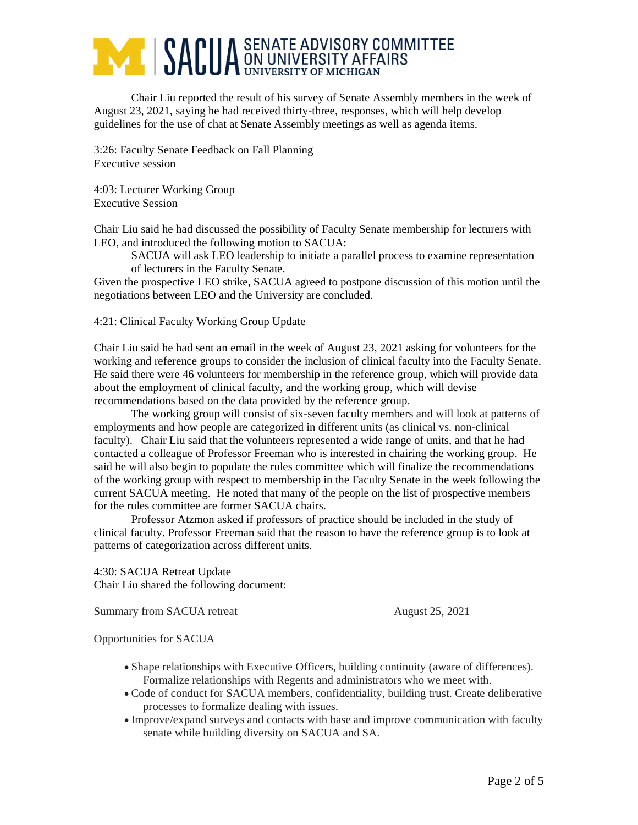# **ANDUA** SENATE ADVISORY COMMITTEE

Chair Liu reported the result of his survey of Senate Assembly members in the week of August 23, 2021, saying he had received thirty-three, responses, which will help develop guidelines for the use of chat at Senate Assembly meetings as well as agenda items.

3:26: Faculty Senate Feedback on Fall Planning Executive session

4:03: Lecturer Working Group Executive Session

Chair Liu said he had discussed the possibility of Faculty Senate membership for lecturers with LEO, and introduced the following motion to SACUA:

SACUA will ask LEO leadership to initiate a parallel process to examine representation of lecturers in the Faculty Senate.

Given the prospective LEO strike, SACUA agreed to postpone discussion of this motion until the negotiations between LEO and the University are concluded.

4:21: Clinical Faculty Working Group Update

Chair Liu said he had sent an email in the week of August 23, 2021 asking for volunteers for the working and reference groups to consider the inclusion of clinical faculty into the Faculty Senate. He said there were 46 volunteers for membership in the reference group, which will provide data about the employment of clinical faculty, and the working group, which will devise recommendations based on the data provided by the reference group.

The working group will consist of six-seven faculty members and will look at patterns of employments and how people are categorized in different units (as clinical vs. non-clinical faculty). Chair Liu said that the volunteers represented a wide range of units, and that he had contacted a colleague of Professor Freeman who is interested in chairing the working group. He said he will also begin to populate the rules committee which will finalize the recommendations of the working group with respect to membership in the Faculty Senate in the week following the current SACUA meeting. He noted that many of the people on the list of prospective members for the rules committee are former SACUA chairs.

Professor Atzmon asked if professors of practice should be included in the study of clinical faculty. Professor Freeman said that the reason to have the reference group is to look at patterns of categorization across different units.

4:30: SACUA Retreat Update Chair Liu shared the following document:

Summary from SACUA retreat August 25, 2021

Opportunities for SACUA

- Shape relationships with Executive Officers, building continuity (aware of differences). Formalize relationships with Regents and administrators who we meet with.
- Code of conduct for SACUA members, confidentiality, building trust. Create deliberative processes to formalize dealing with issues.
- Improve/expand surveys and contacts with base and improve communication with faculty senate while building diversity on SACUA and SA.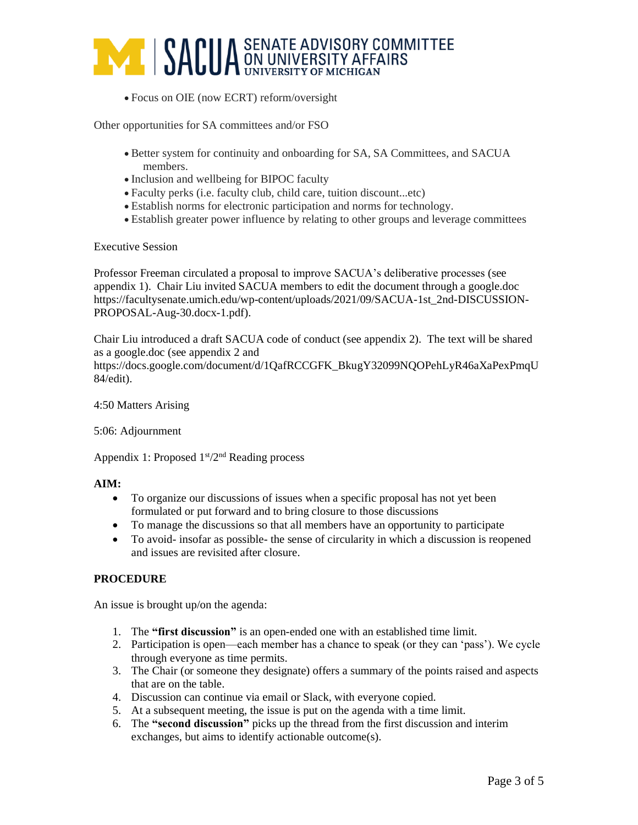

• Focus on OIE (now ECRT) reform/oversight

Other opportunities for SA committees and/or FSO

- Better system for continuity and onboarding for SA, SA Committees, and SACUA members.
- Inclusion and wellbeing for BIPOC faculty
- Faculty perks (i.e. faculty club, child care, tuition discount...etc)
- Establish norms for electronic participation and norms for technology.
- Establish greater power influence by relating to other groups and leverage committees

#### Executive Session

Professor Freeman circulated a proposal to improve SACUA's deliberative processes (see appendix 1). Chair Liu invited SACUA members to edit the document through a google.doc https://facultysenate.umich.edu/wp-content/uploads/2021/09/SACUA-1st\_2nd-DISCUSSION-PROPOSAL-Aug-30.docx-1.pdf).

Chair Liu introduced a draft SACUA code of conduct (see appendix 2). The text will be shared as a google.doc (see appendix 2 and https://docs.google.com/document/d/1QafRCCGFK\_BkugY32099NQOPehLyR46aXaPexPmqU 84/edit).

## 4:50 Matters Arising

## 5:06: Adjournment

Appendix 1: Proposed  $1<sup>st</sup>/2<sup>nd</sup>$  Reading process

## **AIM:**

- To organize our discussions of issues when a specific proposal has not yet been formulated or put forward and to bring closure to those discussions
- To manage the discussions so that all members have an opportunity to participate
- To avoid- insofar as possible- the sense of circularity in which a discussion is reopened and issues are revisited after closure.

## **PROCEDURE**

An issue is brought up/on the agenda:

- 1. The **"first discussion"** is an open-ended one with an established time limit.
- 2. Participation is open—each member has a chance to speak (or they can 'pass'). We cycle through everyone as time permits.
- 3. The Chair (or someone they designate) offers a summary of the points raised and aspects that are on the table.
- 4. Discussion can continue via email or Slack, with everyone copied.
- 5. At a subsequent meeting, the issue is put on the agenda with a time limit.
- 6. The **"second discussion"** picks up the thread from the first discussion and interim exchanges, but aims to identify actionable outcome(s).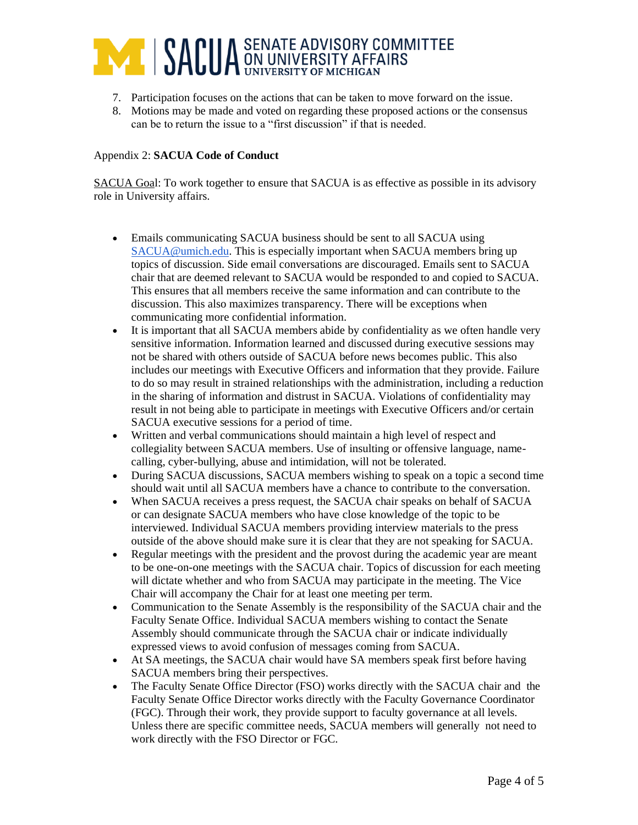

- 7. Participation focuses on the actions that can be taken to move forward on the issue.
- 8. Motions may be made and voted on regarding these proposed actions or the consensus can be to return the issue to a "first discussion" if that is needed.

#### Appendix 2: **SACUA Code of Conduct**

SACUA Goal: To work together to ensure that SACUA is as effective as possible in its advisory role in University affairs.

- Emails communicating SACUA business should be sent to all SACUA using [SACUA@umich.edu.](mailto:SACUA@umich.edu) This is especially important when SACUA members bring up topics of discussion. Side email conversations are discouraged. Emails sent to SACUA chair that are deemed relevant to SACUA would be responded to and copied to SACUA. This ensures that all members receive the same information and can contribute to the discussion. This also maximizes transparency. There will be exceptions when communicating more confidential information.
- It is important that all SACUA members abide by confidentiality as we often handle very sensitive information. Information learned and discussed during executive sessions may not be shared with others outside of SACUA before news becomes public. This also includes our meetings with Executive Officers and information that they provide. Failure to do so may result in strained relationships with the administration, including a reduction in the sharing of information and distrust in SACUA. Violations of confidentiality may result in not being able to participate in meetings with Executive Officers and/or certain SACUA executive sessions for a period of time.
- Written and verbal communications should maintain a high level of respect and collegiality between SACUA members. Use of insulting or offensive language, namecalling, cyber-bullying, abuse and intimidation, will not be tolerated.
- During SACUA discussions, SACUA members wishing to speak on a topic a second time should wait until all SACUA members have a chance to contribute to the conversation.
- When SACUA receives a press request, the SACUA chair speaks on behalf of SACUA or can designate SACUA members who have close knowledge of the topic to be interviewed. Individual SACUA members providing interview materials to the press outside of the above should make sure it is clear that they are not speaking for SACUA.
- Regular meetings with the president and the provost during the academic year are meant to be one-on-one meetings with the SACUA chair. Topics of discussion for each meeting will dictate whether and who from SACUA may participate in the meeting. The Vice Chair will accompany the Chair for at least one meeting per term.
- Communication to the Senate Assembly is the responsibility of the SACUA chair and the Faculty Senate Office. Individual SACUA members wishing to contact the Senate Assembly should communicate through the SACUA chair or indicate individually expressed views to avoid confusion of messages coming from SACUA.
- At SA meetings, the SACUA chair would have SA members speak first before having SACUA members bring their perspectives.
- The Faculty Senate Office Director (FSO) works directly with the SACUA chair and the Faculty Senate Office Director works directly with the Faculty Governance Coordinator (FGC). Through their work, they provide support to faculty governance at all levels. Unless there are specific committee needs, SACUA members will generally not need to work directly with the FSO Director or FGC.